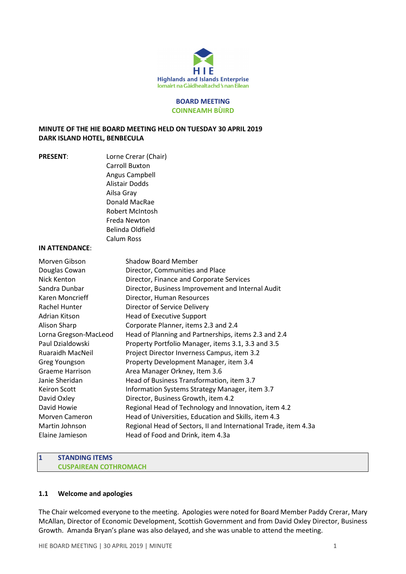

#### BOARD MEETING COINNEAMH BÙIRD

## MINUTE OF THE HIE BOARD MEETING HELD ON TUESDAY 30 APRIL 2019 DARK ISLAND HOTEL, BENBECULA

PRESENT: Lorne Crerar (Chair) Carroll Buxton Angus Campbell Alistair Dodds Ailsa Gray Donald MacRae Robert McIntosh Freda Newton Belinda Oldfield Calum Ross

#### IN ATTENDANCE:

| Morven Gibson           | Shadow Board Member                                             |
|-------------------------|-----------------------------------------------------------------|
| Douglas Cowan           | Director, Communities and Place                                 |
| Nick Kenton             | Director, Finance and Corporate Services                        |
| Sandra Dunbar           | Director, Business Improvement and Internal Audit               |
| Karen Moncrieff         | Director, Human Resources                                       |
| Rachel Hunter           | Director of Service Delivery                                    |
| Adrian Kitson           | Head of Executive Support                                       |
| Alison Sharp            | Corporate Planner, items 2.3 and 2.4                            |
| Lorna Gregson-MacLeod   | Head of Planning and Partnerships, items 2.3 and 2.4            |
| Paul Dzialdowski        | Property Portfolio Manager, items 3.1, 3.3 and 3.5              |
| <b>Ruaraidh MacNeil</b> | Project Director Inverness Campus, item 3.2                     |
| Greg Youngson           | Property Development Manager, item 3.4                          |
| <b>Graeme Harrison</b>  | Area Manager Orkney, Item 3.6                                   |
| Janie Sheridan          | Head of Business Transformation, item 3.7                       |
| <b>Keiron Scott</b>     | Information Systems Strategy Manager, item 3.7                  |
| David Oxley             | Director, Business Growth, item 4.2                             |
| David Howie             | Regional Head of Technology and Innovation, item 4.2            |
| <b>Morven Cameron</b>   | Head of Universities, Education and Skills, item 4.3            |
| Martin Johnson          | Regional Head of Sectors, II and International Trade, item 4.3a |
| Elaine Jamieson         | Head of Food and Drink, item 4.3a                               |
|                         |                                                                 |

#### 1 STANDING ITEMS CUSPAIREAN COTHROMACH

#### 1.1 Welcome and apologies

The Chair welcomed everyone to the meeting. Apologies were noted for Board Member Paddy Crerar, Mary McAllan, Director of Economic Development, Scottish Government and from David Oxley Director, Business Growth. Amanda Bryan's plane was also delayed, and she was unable to attend the meeting.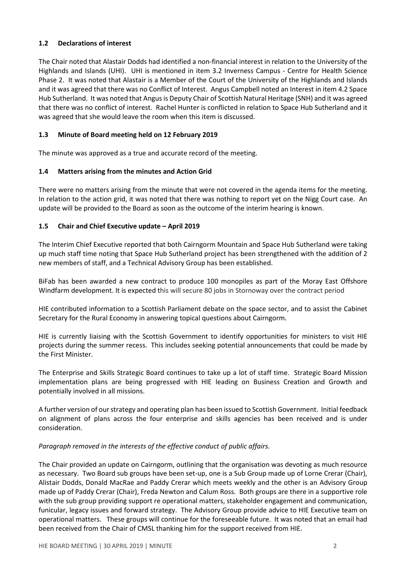# 1.2 Declarations of interest

The Chair noted that Alastair Dodds had identified a non-financial interest in relation to the University of the Highlands and Islands (UHI). UHI is mentioned in item 3.2 Inverness Campus - Centre for Health Science Phase 2. It was noted that Alastair is a Member of the Court of the University of the Highlands and Islands and it was agreed that there was no Conflict of Interest. Angus Campbell noted an Interest in item 4.2 Space Hub Sutherland. It was noted that Angus is Deputy Chair of Scottish Natural Heritage (SNH) and it was agreed that there was no conflict of interest. Rachel Hunter is conflicted in relation to Space Hub Sutherland and it was agreed that she would leave the room when this item is discussed.

# 1.3 Minute of Board meeting held on 12 February 2019

The minute was approved as a true and accurate record of the meeting.

# 1.4 Matters arising from the minutes and Action Grid

There were no matters arising from the minute that were not covered in the agenda items for the meeting. In relation to the action grid, it was noted that there was nothing to report yet on the Nigg Court case. An update will be provided to the Board as soon as the outcome of the interim hearing is known.

# 1.5 Chair and Chief Executive update – April 2019

The Interim Chief Executive reported that both Cairngorm Mountain and Space Hub Sutherland were taking up much staff time noting that Space Hub Sutherland project has been strengthened with the addition of 2 new members of staff, and a Technical Advisory Group has been established.

BiFab has been awarded a new contract to produce 100 monopiles as part of the Moray East Offshore Windfarm development. It is expected this will secure 80 jobs in Stornoway over the contract period

HIE contributed information to a Scottish Parliament debate on the space sector, and to assist the Cabinet Secretary for the Rural Economy in answering topical questions about Cairngorm.

HIE is currently liaising with the Scottish Government to identify opportunities for ministers to visit HIE projects during the summer recess. This includes seeking potential announcements that could be made by the First Minister.

The Enterprise and Skills Strategic Board continues to take up a lot of staff time. Strategic Board Mission implementation plans are being progressed with HIE leading on Business Creation and Growth and potentially involved in all missions.

A further version of our strategy and operating plan has been issued to Scottish Government. Initial feedback on alignment of plans across the four enterprise and skills agencies has been received and is under consideration.

#### Paragraph removed in the interests of the effective conduct of public affairs.

The Chair provided an update on Cairngorm, outlining that the organisation was devoting as much resource as necessary. Two Board sub groups have been set-up, one is a Sub Group made up of Lorne Crerar (Chair), Alistair Dodds, Donald MacRae and Paddy Crerar which meets weekly and the other is an Advisory Group made up of Paddy Crerar (Chair), Freda Newton and Calum Ross. Both groups are there in a supportive role with the sub group providing support re operational matters, stakeholder engagement and communication, funicular, legacy issues and forward strategy. The Advisory Group provide advice to HIE Executive team on operational matters. These groups will continue for the foreseeable future. It was noted that an email had been received from the Chair of CMSL thanking him for the support received from HIE.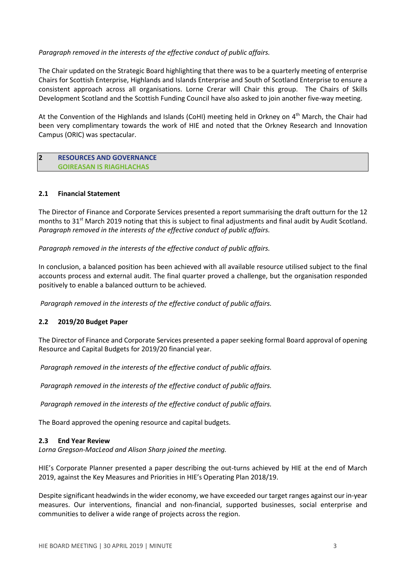## Paragraph removed in the interests of the effective conduct of public affairs.

The Chair updated on the Strategic Board highlighting that there was to be a quarterly meeting of enterprise Chairs for Scottish Enterprise, Highlands and Islands Enterprise and South of Scotland Enterprise to ensure a consistent approach across all organisations. Lorne Crerar will Chair this group. The Chairs of Skills Development Scotland and the Scottish Funding Council have also asked to join another five-way meeting.

At the Convention of the Highlands and Islands (CoHI) meeting held in Orkney on 4th March, the Chair had been very complimentary towards the work of HIE and noted that the Orkney Research and Innovation Campus (ORIC) was spectacular.

#### 2 RESOURCES AND GOVERNANCE GOIREASAN IS RIAGHLACHAS

#### 2.1 Financial Statement

The Director of Finance and Corporate Services presented a report summarising the draft outturn for the 12 months to 31<sup>st</sup> March 2019 noting that this is subject to final adjustments and final audit by Audit Scotland. Paragraph removed in the interests of the effective conduct of public affairs.

Paragraph removed in the interests of the effective conduct of public affairs.

In conclusion, a balanced position has been achieved with all available resource utilised subject to the final accounts process and external audit. The final quarter proved a challenge, but the organisation responded positively to enable a balanced outturn to be achieved.

Paragraph removed in the interests of the effective conduct of public affairs.

# 2.2 2019/20 Budget Paper

The Director of Finance and Corporate Services presented a paper seeking formal Board approval of opening Resource and Capital Budgets for 2019/20 financial year.

Paragraph removed in the interests of the effective conduct of public affairs.

Paragraph removed in the interests of the effective conduct of public affairs.

Paragraph removed in the interests of the effective conduct of public affairs.

The Board approved the opening resource and capital budgets.

#### 2.3 End Year Review

Lorna Gregson-MacLeod and Alison Sharp joined the meeting.

HIE's Corporate Planner presented a paper describing the out-turns achieved by HIE at the end of March 2019, against the Key Measures and Priorities in HIE's Operating Plan 2018/19.

Despite significant headwinds in the wider economy, we have exceeded our target ranges against our in-year measures. Our interventions, financial and non-financial, supported businesses, social enterprise and communities to deliver a wide range of projects across the region.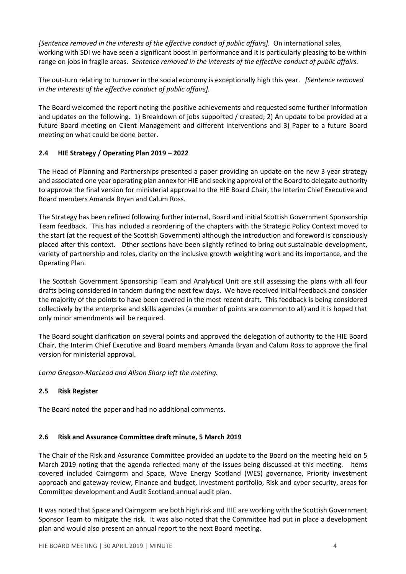[Sentence removed in the interests of the effective conduct of public affairs]. On international sales, working with SDI we have seen a significant boost in performance and it is particularly pleasing to be within range on jobs in fragile areas. Sentence removed in the interests of the effective conduct of public affairs.

The out-turn relating to turnover in the social economy is exceptionally high this year. *[Sentence removed* in the interests of the effective conduct of public affairs].

The Board welcomed the report noting the positive achievements and requested some further information and updates on the following. 1) Breakdown of jobs supported / created; 2) An update to be provided at a future Board meeting on Client Management and different interventions and 3) Paper to a future Board meeting on what could be done better.

# 2.4 HIE Strategy / Operating Plan 2019 – 2022

The Head of Planning and Partnerships presented a paper providing an update on the new 3 year strategy and associated one year operating plan annex for HIE and seeking approval of the Board to delegate authority to approve the final version for ministerial approval to the HIE Board Chair, the Interim Chief Executive and Board members Amanda Bryan and Calum Ross.

The Strategy has been refined following further internal, Board and initial Scottish Government Sponsorship Team feedback. This has included a reordering of the chapters with the Strategic Policy Context moved to the start (at the request of the Scottish Government) although the introduction and foreword is consciously placed after this context. Other sections have been slightly refined to bring out sustainable development, variety of partnership and roles, clarity on the inclusive growth weighting work and its importance, and the Operating Plan.

The Scottish Government Sponsorship Team and Analytical Unit are still assessing the plans with all four drafts being considered in tandem during the next few days. We have received initial feedback and consider the majority of the points to have been covered in the most recent draft. This feedback is being considered collectively by the enterprise and skills agencies (a number of points are common to all) and it is hoped that only minor amendments will be required.

The Board sought clarification on several points and approved the delegation of authority to the HIE Board Chair, the Interim Chief Executive and Board members Amanda Bryan and Calum Ross to approve the final version for ministerial approval.

Lorna Gregson-MacLeod and Alison Sharp left the meeting.

# 2.5 Risk Register

The Board noted the paper and had no additional comments.

# 2.6 Risk and Assurance Committee draft minute, 5 March 2019

The Chair of the Risk and Assurance Committee provided an update to the Board on the meeting held on 5 March 2019 noting that the agenda reflected many of the issues being discussed at this meeting. Items covered included Cairngorm and Space, Wave Energy Scotland (WES) governance, Priority investment approach and gateway review, Finance and budget, Investment portfolio, Risk and cyber security, areas for Committee development and Audit Scotland annual audit plan.

It was noted that Space and Cairngorm are both high risk and HIE are working with the Scottish Government Sponsor Team to mitigate the risk. It was also noted that the Committee had put in place a development plan and would also present an annual report to the next Board meeting.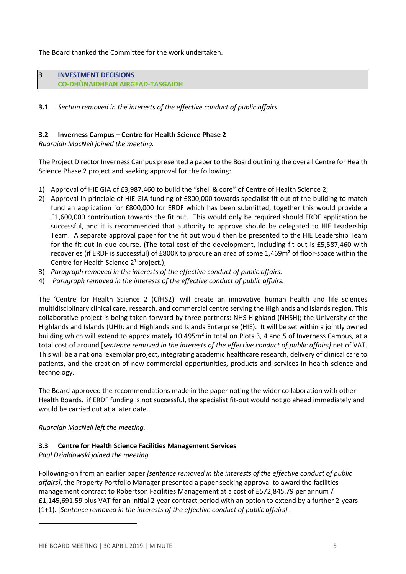The Board thanked the Committee for the work undertaken.

| 3 | <b>INVESTMENT DECISIONS</b>            |
|---|----------------------------------------|
|   | <b>CO-DHUNAIDHEAN AIRGEAD-TASGAIDH</b> |
|   |                                        |
|   |                                        |

**3.1** Section removed in the interests of the effective conduct of public affairs.

# 3.2 Inverness Campus – Centre for Health Science Phase 2

Ruaraidh MacNeil joined the meeting.

The Project Director Inverness Campus presented a paper to the Board outlining the overall Centre for Health Science Phase 2 project and seeking approval for the following:

- 1) Approval of HIE GIA of £3,987,460 to build the "shell & core" of Centre of Health Science 2;
- 2) Approval in principle of HIE GIA funding of £800,000 towards specialist fit-out of the building to match fund an application for £800,000 for ERDF which has been submitted, together this would provide a £1,600,000 contribution towards the fit out. This would only be required should ERDF application be successful, and it is recommended that authority to approve should be delegated to HIE Leadership Team. A separate approval paper for the fit out would then be presented to the HIE Leadership Team for the fit-out in due course. (The total cost of the development, including fit out is £5,587,460 with recoveries (if ERDF is successful) of £800K to procure an area of some 1,469m² of floor-space within the Centre for Health Science  $2^1$  project.);
- 3) Paragraph removed in the interests of the effective conduct of public affairs.
- 4) Paragraph removed in the interests of the effective conduct of public affairs.

The 'Centre for Health Science 2 (CfHS2)' will create an innovative human health and life sciences multidisciplinary clinical care, research, and commercial centre serving the Highlands and Islands region. This collaborative project is being taken forward by three partners: NHS Highland (NHSH); the University of the Highlands and Islands (UHI); and Highlands and Islands Enterprise (HIE). It will be set within a jointly owned building which will extend to approximately 10,495m² in total on Plots 3, 4 and 5 of Inverness Campus, at a total cost of around [sentence removed in the interests of the effective conduct of public affairs] net of VAT. This will be a national exemplar project, integrating academic healthcare research, delivery of clinical care to patients, and the creation of new commercial opportunities, products and services in health science and technology.

The Board approved the recommendations made in the paper noting the wider collaboration with other Health Boards. if ERDF funding is not successful, the specialist fit-out would not go ahead immediately and would be carried out at a later date.

Ruaraidh MacNeil left the meeting.

#### 3.3 Centre for Health Science Facilities Management Services

Paul Dzialdowski joined the meeting.

 $\overline{a}$ 

Following-on from an earlier paper [sentence removed in the interests of the effective conduct of public affairs], the Property Portfolio Manager presented a paper seeking approval to award the facilities management contract to Robertson Facilities Management at a cost of £572,845.79 per annum / £1,145,691.59 plus VAT for an initial 2-year contract period with an option to extend by a further 2-years (1+1). [Sentence removed in the interests of the effective conduct of public affairs].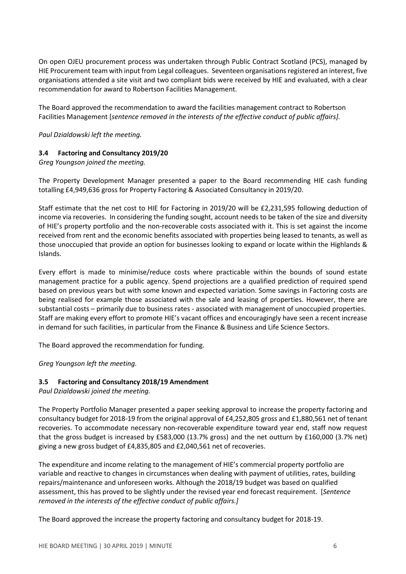On open OJEU procurement process was undertaken through Public Contract Scotland (PCS), managed by HIE Procurement team with input from Legal colleagues. Seventeen organisations registered an interest, five organisations attended a site visit and two compliant bids were received by HIE and evaluated, with a clear recommendation for award to Robertson Facilities Management.

The Board approved the recommendation to award the facilities management contract to Robertson Facilities Management [sentence removed in the interests of the effective conduct of public affairs].

Paul Dzialdowski left the meeting.

# 3.4 Factoring and Consultancy 2019/20

Greg Youngson joined the meeting.

The Property Development Manager presented a paper to the Board recommending HIE cash funding totalling £4,949,636 gross for Property Factoring & Associated Consultancy in 2019/20.

Staff estimate that the net cost to HIE for Factoring in 2019/20 will be £2,231,595 following deduction of income via recoveries. In considering the funding sought, account needs to be taken of the size and diversity of HIE's property portfolio and the non-recoverable costs associated with it. This is set against the income received from rent and the economic benefits associated with properties being leased to tenants, as well as those unoccupied that provide an option for businesses looking to expand or locate within the Highlands & Islands.

Every effort is made to minimise/reduce costs where practicable within the bounds of sound estate management practice for a public agency. Spend projections are a qualified prediction of required spend based on previous years but with some known and expected variation. Some savings in Factoring costs are being realised for example those associated with the sale and leasing of properties. However, there are substantial costs – primarily due to business rates - associated with management of unoccupied properties. Staff are making every effort to promote HIE's vacant offices and encouragingly have seen a recent increase in demand for such facilities, in particular from the Finance & Business and Life Science Sectors.

The Board approved the recommendation for funding.

Greg Youngson left the meeting.

#### 3.5 Factoring and Consultancy 2018/19 Amendment

Paul Dzialdowski joined the meeting.

The Property Portfolio Manager presented a paper seeking approval to increase the property factoring and consultancy budget for 2018-19 from the original approval of £4,252,805 gross and £1,880,561 net of tenant recoveries. To accommodate necessary non-recoverable expenditure toward year end, staff now request that the gross budget is increased by £583,000 (13.7% gross) and the net outturn by £160,000 (3.7% net) giving a new gross budget of £4,835,805 and £2,040,561 net of recoveries.

The expenditure and income relating to the management of HIE's commercial property portfolio are variable and reactive to changes in circumstances when dealing with payment of utilities, rates, building repairs/maintenance and unforeseen works. Although the 2018/19 budget was based on qualified assessment, this has proved to be slightly under the revised year end forecast requirement. [Sentence removed in the interests of the effective conduct of public affairs.]

The Board approved the increase the property factoring and consultancy budget for 2018-19.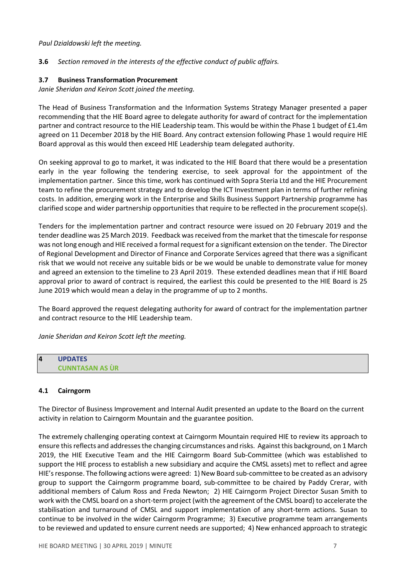### Paul Dzialdowski left the meeting.

# **3.6** Section removed in the interests of the effective conduct of public affairs.

#### 3.7 Business Transformation Procurement

Janie Sheridan and Keiron Scott joined the meeting.

The Head of Business Transformation and the Information Systems Strategy Manager presented a paper recommending that the HIE Board agree to delegate authority for award of contract for the implementation partner and contract resource to the HIE Leadership team. This would be within the Phase 1 budget of £1.4m agreed on 11 December 2018 by the HIE Board. Any contract extension following Phase 1 would require HIE Board approval as this would then exceed HIE Leadership team delegated authority.

On seeking approval to go to market, it was indicated to the HIE Board that there would be a presentation early in the year following the tendering exercise, to seek approval for the appointment of the implementation partner. Since this time, work has continued with Sopra Steria Ltd and the HIE Procurement team to refine the procurement strategy and to develop the ICT Investment plan in terms of further refining costs. In addition, emerging work in the Enterprise and Skills Business Support Partnership programme has clarified scope and wider partnership opportunities that require to be reflected in the procurement scope(s).

Tenders for the implementation partner and contract resource were issued on 20 February 2019 and the tender deadline was 25 March 2019. Feedback was received from the market that the timescale for response was not long enough and HIE received a formal request for a significant extension on the tender. The Director of Regional Development and Director of Finance and Corporate Services agreed that there was a significant risk that we would not receive any suitable bids or be we would be unable to demonstrate value for money and agreed an extension to the timeline to 23 April 2019. These extended deadlines mean that if HIE Board approval prior to award of contract is required, the earliest this could be presented to the HIE Board is 25 June 2019 which would mean a delay in the programme of up to 2 months.

The Board approved the request delegating authority for award of contract for the implementation partner and contract resource to the HIE Leadership team.

Janie Sheridan and Keiron Scott left the meeting.

# 4 UPDATES CUNNTASAN AS ÙR

#### 4.1 Cairngorm

The Director of Business Improvement and Internal Audit presented an update to the Board on the current activity in relation to Cairngorm Mountain and the guarantee position.

The extremely challenging operating context at Cairngorm Mountain required HIE to review its approach to ensure this reflects and addresses the changing circumstances and risks. Against this background, on 1 March 2019, the HIE Executive Team and the HIE Cairngorm Board Sub-Committee (which was established to support the HIE process to establish a new subsidiary and acquire the CMSL assets) met to reflect and agree HIE's response. The following actions were agreed: 1) New Board sub-committee to be created as an advisory group to support the Cairngorm programme board, sub-committee to be chaired by Paddy Crerar, with additional members of Calum Ross and Freda Newton; 2) HIE Cairngorm Project Director Susan Smith to work with the CMSL board on a short-term project (with the agreement of the CMSL board) to accelerate the stabilisation and turnaround of CMSL and support implementation of any short-term actions. Susan to continue to be involved in the wider Cairngorm Programme; 3) Executive programme team arrangements to be reviewed and updated to ensure current needs are supported; 4) New enhanced approach to strategic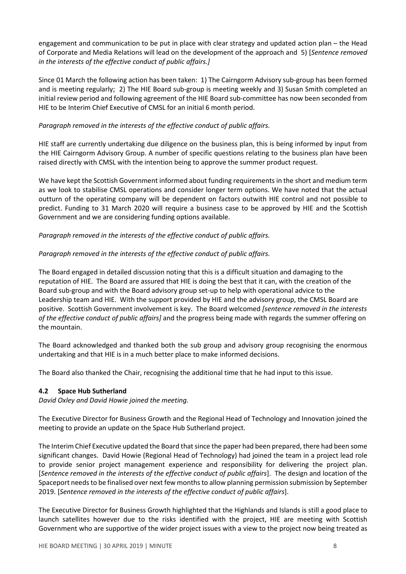engagement and communication to be put in place with clear strategy and updated action plan – the Head of Corporate and Media Relations will lead on the development of the approach and 5) [Sentence removed in the interests of the effective conduct of public affairs.]

Since 01 March the following action has been taken: 1) The Cairngorm Advisory sub-group has been formed and is meeting regularly; 2) The HIE Board sub-group is meeting weekly and 3) Susan Smith completed an initial review period and following agreement of the HIE Board sub-committee has now been seconded from HIE to be Interim Chief Executive of CMSL for an initial 6 month period.

# Paragraph removed in the interests of the effective conduct of public affairs.

HIE staff are currently undertaking due diligence on the business plan, this is being informed by input from the HIE Cairngorm Advisory Group. A number of specific questions relating to the business plan have been raised directly with CMSL with the intention being to approve the summer product request.

We have kept the Scottish Government informed about funding requirements in the short and medium term as we look to stabilise CMSL operations and consider longer term options. We have noted that the actual outturn of the operating company will be dependent on factors outwith HIE control and not possible to predict. Funding to 31 March 2020 will require a business case to be approved by HIE and the Scottish Government and we are considering funding options available.

# Paragraph removed in the interests of the effective conduct of public affairs.

# Paragraph removed in the interests of the effective conduct of public affairs.

The Board engaged in detailed discussion noting that this is a difficult situation and damaging to the reputation of HIE. The Board are assured that HIE is doing the best that it can, with the creation of the Board sub-group and with the Board advisory group set-up to help with operational advice to the Leadership team and HIE. With the support provided by HIE and the advisory group, the CMSL Board are positive. Scottish Government involvement is key. The Board welcomed [sentence removed in the interests of the effective conduct of public affairs] and the progress being made with regards the summer offering on the mountain.

The Board acknowledged and thanked both the sub group and advisory group recognising the enormous undertaking and that HIE is in a much better place to make informed decisions.

The Board also thanked the Chair, recognising the additional time that he had input to this issue.

#### 4.2 Space Hub Sutherland

David Oxley and David Howie joined the meeting.

The Executive Director for Business Growth and the Regional Head of Technology and Innovation joined the meeting to provide an update on the Space Hub Sutherland project.

The Interim Chief Executive updated the Board that since the paper had been prepared, there had been some significant changes. David Howie (Regional Head of Technology) had joined the team in a project lead role to provide senior project management experience and responsibility for delivering the project plan. [Sentence removed in the interests of the effective conduct of public affairs]. The design and location of the Spaceport needs to be finalised over next few months to allow planning permission submission by September 2019. [Sentence removed in the interests of the effective conduct of public affairs].

The Executive Director for Business Growth highlighted that the Highlands and Islands is still a good place to launch satellites however due to the risks identified with the project, HIE are meeting with Scottish Government who are supportive of the wider project issues with a view to the project now being treated as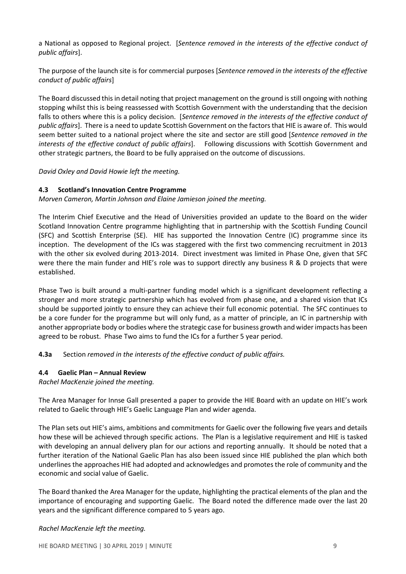a National as opposed to Regional project. [Sentence removed in the interests of the effective conduct of public affairs].

The purpose of the launch site is for commercial purposes [Sentence removed in the interests of the effective conduct of public affairs]

The Board discussed this in detail noting that project management on the ground is still ongoing with nothing stopping whilst this is being reassessed with Scottish Government with the understanding that the decision falls to others where this is a policy decision. [Sentence removed in the interests of the effective conduct of public affairs]. There is a need to update Scottish Government on the factors that HIE is aware of. This would seem better suited to a national project where the site and sector are still good [Sentence removed in the interests of the effective conduct of public affairs]. Following discussions with Scottish Government and other strategic partners, the Board to be fully appraised on the outcome of discussions.

David Oxley and David Howie left the meeting.

# 4.3 Scotland's Innovation Centre Programme

Morven Cameron, Martin Johnson and Elaine Jamieson joined the meeting.

The Interim Chief Executive and the Head of Universities provided an update to the Board on the wider Scotland Innovation Centre programme highlighting that in partnership with the Scottish Funding Council (SFC) and Scottish Enterprise (SE). HIE has supported the Innovation Centre (IC) programme since its inception. The development of the ICs was staggered with the first two commencing recruitment in 2013 with the other six evolved during 2013-2014. Direct investment was limited in Phase One, given that SFC were there the main funder and HIE's role was to support directly any business R & D projects that were established.

Phase Two is built around a multi-partner funding model which is a significant development reflecting a stronger and more strategic partnership which has evolved from phase one, and a shared vision that ICs should be supported jointly to ensure they can achieve their full economic potential. The SFC continues to be a core funder for the programme but will only fund, as a matter of principle, an IC in partnership with another appropriate body or bodies where the strategic case for business growth and wider impacts has been agreed to be robust. Phase Two aims to fund the ICs for a further 5 year period.

4.3a Section removed in the interests of the effective conduct of public affairs.

# 4.4 Gaelic Plan – Annual Review

Rachel MacKenzie joined the meeting.

The Area Manager for Innse Gall presented a paper to provide the HIE Board with an update on HIE's work related to Gaelic through HIE's Gaelic Language Plan and wider agenda.

The Plan sets out HIE's aims, ambitions and commitments for Gaelic over the following five years and details how these will be achieved through specific actions. The Plan is a legislative requirement and HIE is tasked with developing an annual delivery plan for our actions and reporting annually. It should be noted that a further iteration of the National Gaelic Plan has also been issued since HIE published the plan which both underlines the approaches HIE had adopted and acknowledges and promotes the role of community and the economic and social value of Gaelic.

The Board thanked the Area Manager for the update, highlighting the practical elements of the plan and the importance of encouraging and supporting Gaelic. The Board noted the difference made over the last 20 years and the significant difference compared to 5 years ago.

#### Rachel MacKenzie left the meeting.